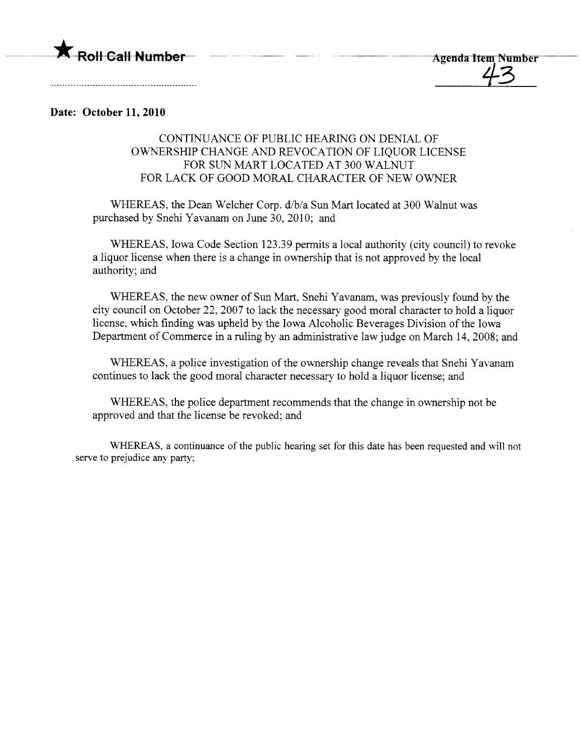

## Date: October 11, 2010

## CONTINUANCE OF PUBLIC HEARING ON DENIAL OF OWNERSHIP CHANGE AND REVOCATION OF LIQUOR LICENSE FOR SUN MART LOCATED AT 300 WALNUT FOR LACK OF GOOD MORAL CHARACTER OF NEW OWNER

WHEREAS, the Dean Welcher Corp. d/b/a Sun Mart located at 300 Walnut was purchased by Snehi Yavanam on June 30, 2010; and

WHEREAS, Iowa Code Section 123.39 permits a local authority (city council) to revoke a liquor license when there is a change in ownership that is not approved by the local authority; and

WHEREAS, the new owner of Sun Mart, Snehi Yavanam, was previously found by the city council on October 22, 2007 to lack the necessary good moral character to hold a liquor license, which finding was upheld by the Iowa Alcoholic Beverages Division of the Iowa Department of Commerce in a ruling by an administrative law judge on March 14, 2008; and

WHEREAS, a police investigation of the ownership change reveals that Snehi Yavanam continues to lack the good moral character necessary to hold a liquor license; and

WHEREAS, the police department recommends that the change in ownership not be approved and that the license be revoked; and

WHEREAS, a continuance of the public hearing set for this date has been requested and will not serve to prejudice any party;